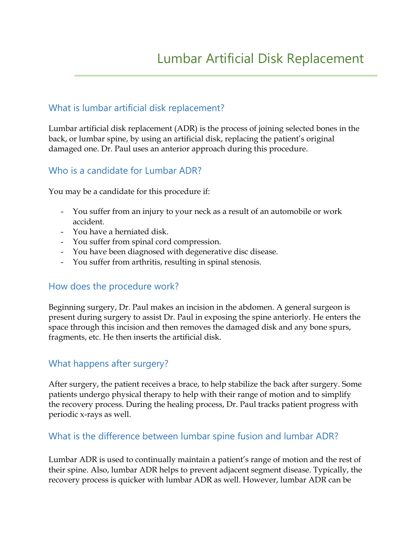## What is lumbar artificial disk replacement?

Lumbar artificial disk replacement (ADR) is the process of joining selected bones in the back, or lumbar spine, by using an artificial disk, replacing the patient's original damaged one. Dr. Paul uses an anterior approach during this procedure.

### Who is a candidate for Lumbar ADR?

You may be a candidate for this procedure if:

- You suffer from an injury to your neck as a result of an automobile or work accident.
- You have a herniated disk.
- You suffer from spinal cord compression.
- You have been diagnosed with degenerative disc disease.
- You suffer from arthritis, resulting in spinal stenosis.

### How does the procedure work?

Beginning surgery, Dr. Paul makes an incision in the abdomen. A general surgeon is present during surgery to assist Dr. Paul in exposing the spine anteriorly. He enters the space through this incision and then removes the damaged disk and any bone spurs, fragments, etc. He then inserts the artificial disk.

# What happens after surgery?

After surgery, the patient receives a brace, to help stabilize the back after surgery. Some patients undergo physical therapy to help with their range of motion and to simplify the recovery process. During the healing process, Dr. Paul tracks patient progress with periodic x-rays as well.

### What is the difference between lumbar spine fusion and lumbar ADR?

Lumbar ADR is used to continually maintain a patient's range of motion and the rest of their spine. Also, lumbar ADR helps to prevent adjacent segment disease. Typically, the recovery process is quicker with lumbar ADR as well. However, lumbar ADR can be